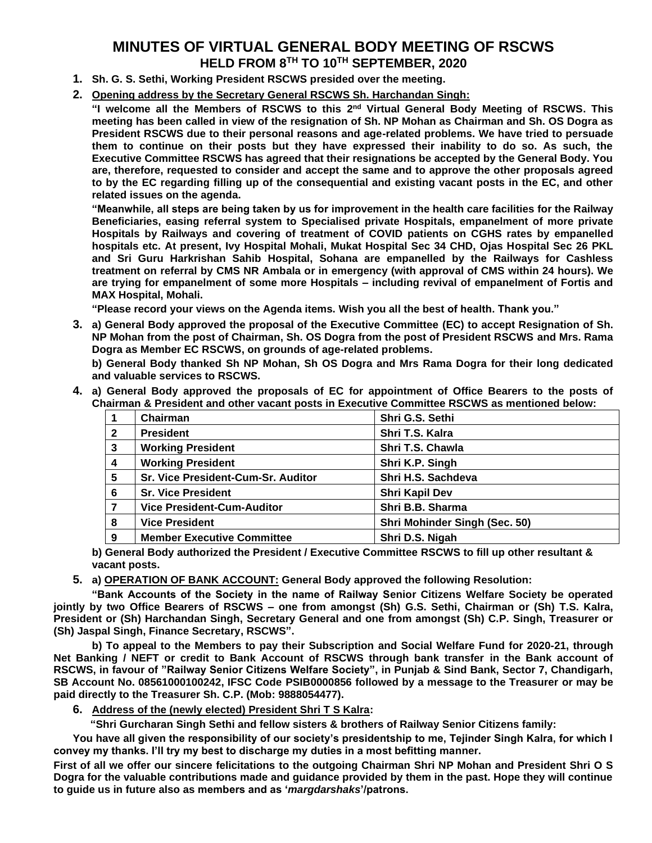## **MINUTES OF VIRTUAL GENERAL BODY MEETING OF RSCWS HELD FROM 8TH TO 10TH SEPTEMBER, 2020**

- **1. Sh. G. S. Sethi, Working President RSCWS presided over the meeting.**
- **2. Opening address by the Secretary General RSCWS Sh. Harchandan Singh:**

"I welcome all the Members of RSCWS to this 2<sup>nd</sup> Virtual General Body Meeting of RSCWS. This **meeting has been called in view of the resignation of Sh. NP Mohan as Chairman and Sh. OS Dogra as President RSCWS due to their personal reasons and age-related problems. We have tried to persuade them to continue on their posts but they have expressed their inability to do so. As such, the Executive Committee RSCWS has agreed that their resignations be accepted by the General Body. You are, therefore, requested to consider and accept the same and to approve the other proposals agreed to by the EC regarding filling up of the consequential and existing vacant posts in the EC, and other related issues on the agenda.** 

**"Meanwhile, all steps are being taken by us for improvement in the health care facilities for the Railway Beneficiaries, easing referral system to Specialised private Hospitals, empanelment of more private Hospitals by Railways and covering of treatment of COVID patients on CGHS rates by empanelled hospitals etc. At present, Ivy Hospital Mohali, Mukat Hospital Sec 34 CHD, Ojas Hospital Sec 26 PKL and Sri Guru Harkrishan Sahib Hospital, Sohana are empanelled by the Railways for Cashless treatment on referral by CMS NR Ambala or in emergency (with approval of CMS within 24 hours). We are trying for empanelment of some more Hospitals – including revival of empanelment of Fortis and MAX Hospital, Mohali.**

**"Please record your views on the Agenda items. Wish you all the best of health. Thank you."**

**3. a) General Body approved the proposal of the Executive Committee (EC) to accept Resignation of Sh. NP Mohan from the post of Chairman, Sh. OS Dogra from the post of President RSCWS and Mrs. Rama Dogra as Member EC RSCWS, on grounds of age-related problems.**

**b) General Body thanked Sh NP Mohan, Sh OS Dogra and Mrs Rama Dogra for their long dedicated and valuable services to RSCWS.**

**4. a) General Body approved the proposals of EC for appointment of Office Bearers to the posts of Chairman & President and other vacant posts in Executive Committee RSCWS as mentioned below:**

|                         | Chairman                           | Shri G.S. Sethi               |
|-------------------------|------------------------------------|-------------------------------|
| $\mathbf{2}$            | <b>President</b>                   | Shri T.S. Kalra               |
| 3                       | <b>Working President</b>           | Shri T.S. Chawla              |
| $\overline{\mathbf{4}}$ | <b>Working President</b>           | Shri K.P. Singh               |
| 5                       | Sr. Vice President-Cum-Sr. Auditor | Shri H.S. Sachdeva            |
| 6                       | <b>Sr. Vice President</b>          | <b>Shri Kapil Dev</b>         |
|                         | <b>Vice President-Cum-Auditor</b>  | Shri B.B. Sharma              |
| 8                       | <b>Vice President</b>              | Shri Mohinder Singh (Sec. 50) |
| 9                       | <b>Member Executive Committee</b>  | Shri D.S. Nigah               |

**b) General Body authorized the President / Executive Committee RSCWS to fill up other resultant & vacant posts.**

**5. a) OPERATION OF BANK ACCOUNT: General Body approved the following Resolution:**

**"Bank Accounts of the Society in the name of Railway Senior Citizens Welfare Society be operated jointly by two Office Bearers of RSCWS – one from amongst (Sh) G.S. Sethi, Chairman or (Sh) T.S. Kalra, President or (Sh) Harchandan Singh, Secretary General and one from amongst (Sh) C.P. Singh, Treasurer or (Sh) Jaspal Singh, Finance Secretary, RSCWS".**

**b) To appeal to the Members to pay their Subscription and Social Welfare Fund for 2020-21, through Net Banking / NEFT or credit to Bank Account of RSCWS through bank transfer in the Bank account of RSCWS, in favour of "Railway Senior Citizens Welfare Society", in Punjab & Sind Bank, Sector 7, Chandigarh, SB Account No. 08561000100242, IFSC Code PSIB0000856 followed by a message to the Treasurer or may be paid directly to the Treasurer Sh. C.P. (Mob: 9888054477).**

**6. Address of the (newly elected) President Shri T S Kalra:**

 **"Shri Gurcharan Singh Sethi and fellow sisters & brothers of Railway Senior Citizens family:**

**You have all given the responsibility of our society's presidentship to me, Tejinder Singh Kalra, for which I convey my thanks. I'll try my best to discharge my duties in a most befitting manner.**

**First of all we offer our sincere felicitations to the outgoing Chairman Shri NP Mohan and President Shri O S Dogra for the valuable contributions made and guidance provided by them in the past. Hope they will continue to guide us in future also as members and as '***margdarshaks***'/patrons.**